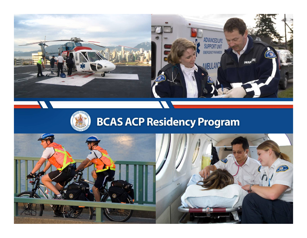



# **BCAS ACP Residency Program**

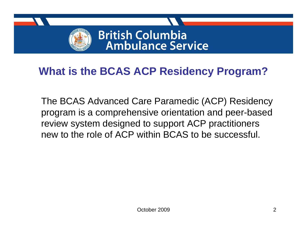

#### **What is the BCAS ACP Residency Program?**

The BCAS Advanced Care Paramedic (ACP) Residency program is a comprehensive orientation and peer-based review system designed to support ACP practitioners new to the role of ACP within BCAS to be successful.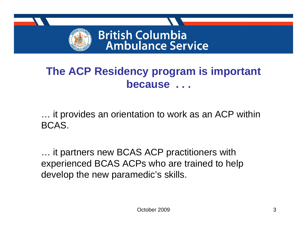

#### **The ACP Residency program is important because . . .**

… it provides an orientation to work as an ACP within BCAS.

… it partners new BCAS ACP practitioners with experienced BCAS ACPs who are trained to help develop the new paramedic's skills.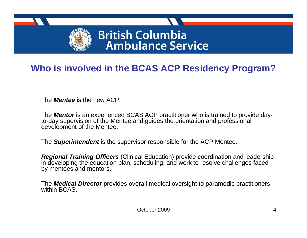

#### **Who is involved in the BCAS ACP Residency Program?**

The *Mentee* is the new ACP.

The *Mentor* is an experienced BCAS ACP practitioner who is trained to provide dayto-day supervision of the Mentee and guides the orientation and professional development of the Mentee.

The *Superintendent* is the supervisor responsible for the ACP Mentee.

*Regional Training Officers* (Clinical Education) provide coordination and leadership in developing the education plan, scheduling, and work to resolve challenges faced by mentees and mentors.

The *Medical Director* provides overall medical oversight to paramedic practitioners within BCAS.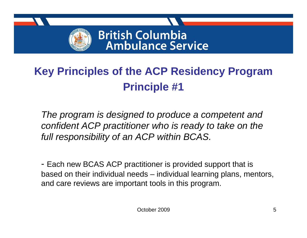

# **Key Principles of the ACP Residency Program Principle #1**

*The program is designed to produce a competent and confident ACP practitioner who is ready to take on the full responsibility of an ACP within BCAS.*

- Each new BCAS ACP practitioner is provided support that is based on their individual needs – individual learning plans, mentors, and care reviews are important tools in this program.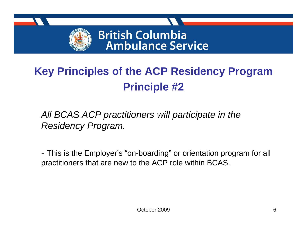

# **Key Principles of the ACP Residency Program Principle #2**

*All BCAS ACP practitioners will participate in the Residency Program.*

*-* This is the Employer's "on-boarding" or orientation program for all practitioners that are new to the ACP role within BCAS.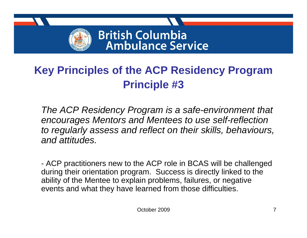

### **Key Principles of the ACP Residency Program Principle #3**

*The ACP Residency Program is a safe-environment that encourages Mentors and Mentees to use self-reflection to regularly assess and reflect on their skills, behaviours, and attitudes.*

 ACP practitioners new to the ACP role in BCAS will be challenged during their orientation program. Success is directly linked to the ability of the Mentee to explain problems, failures, or negative events and what they have learned from those difficulties.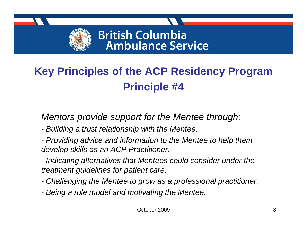

# **Key Principles of the ACP Residency Program Principle #4**

#### *Mentors provide support for the Mentee through:*

- *- Building a trust relationship with the Mentee.*
- *- Providing advice and information to the Mentee to help them develop skills as an ACP Practitioner.*
- *- Indicating alternatives that Mentees could consider under the treatment guidelines for patient care.*
- *- Challenging the Mentee to grow as a professional practitioner.*
- *- Being a role model and motivating the Mentee.*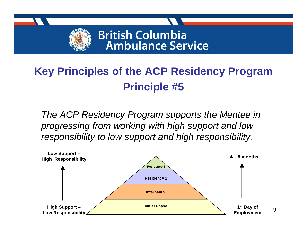

# **Key Principles of the ACP Residency Program Principle #5**

*The ACP Residency Program supports the Mentee in progressing from working with high support and low responsibility to low support and high responsibility.*

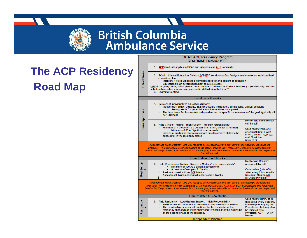

# **The ACP Residency Road Map**

#### **BCAS ACP Residency Program** ROADMAR October 2009

|                                                                                                                                                                                                                                                                                                                                                             | 1. ACP Graduate applies to BCAS and is hired as an ACP Paramedic                                                                                                                                                                                                                                                                                                                                                                                                                       |                                                                                                                                                                  |  |
|-------------------------------------------------------------------------------------------------------------------------------------------------------------------------------------------------------------------------------------------------------------------------------------------------------------------------------------------------------------|----------------------------------------------------------------------------------------------------------------------------------------------------------------------------------------------------------------------------------------------------------------------------------------------------------------------------------------------------------------------------------------------------------------------------------------------------------------------------------------|------------------------------------------------------------------------------------------------------------------------------------------------------------------|--|
| Initial Phase                                                                                                                                                                                                                                                                                                                                               | 2. BCAS - Clinical Education Division ACP RTO conducts a Gap Analysis and creates an individualized<br>education plan<br>Interview + Field Exposure determines need for and content of education<br>Educational plan developed to best assure success<br>**YPOP on going during initial phase – must be able to drive code 3 before Residency 1 (realistically needs to<br>be before internship – focus is on paramedic skills during that time) <sup>**</sup><br>3. Learning Contract |                                                                                                                                                                  |  |
| <b>Timeline is 0 weeks</b>                                                                                                                                                                                                                                                                                                                                  |                                                                                                                                                                                                                                                                                                                                                                                                                                                                                        |                                                                                                                                                                  |  |
|                                                                                                                                                                                                                                                                                                                                                             | 4. Delivery of individualized education strategy:<br>Independent Study, Didactic, Skill / procedure instruction, Simulations, Clinical sessions<br>o See Appendix for potential education modules anticipated<br>The time frame for this module is dependent on the specific requirements of the grad; typically will<br>be 1-3 blocks                                                                                                                                                 |                                                                                                                                                                  |  |
| Internship Phase                                                                                                                                                                                                                                                                                                                                            | 5. Field Clinical Training - High support - Medium responsibility'<br>• Minimum of 4 blocks on a 3 person unit (Intem, Mentor & Partner)<br>o Minimum of 60 ALS patient assessments<br>Individual graduates may require more time to achieve ability to be<br>successful in the residency phase                                                                                                                                                                                        | Mentor and Intem review<br>call by call<br>Case review (min. of 3)<br>after block (2-3-4) with<br>Intern, Mentor, ACP RTO<br>and Physician<br>(min. of 3)        |  |
| Assessment Team Meeting - Are you ready to be successful at the next level of increasingly independent<br>practice? This requires a clear consensus of the Intern, Mentor, ACP RTO, BCAS Operations and Physician<br>involved in the process. If the answer is not a clear yes, a new educational plan must be developed and approved<br>(per # $2$ above). |                                                                                                                                                                                                                                                                                                                                                                                                                                                                                        |                                                                                                                                                                  |  |
| Time to date: 5 - 8 blocks                                                                                                                                                                                                                                                                                                                                  |                                                                                                                                                                                                                                                                                                                                                                                                                                                                                        |                                                                                                                                                                  |  |
| Residency                                                                                                                                                                                                                                                                                                                                                   | 6. Field Residency - 'Medium Support - Medium/High Responsibility'<br>Minimum of 120 ALS patient assessments<br>×,<br>A number of complex ALS calls<br>Resident paired with an ACP Mentor<br>Assessment Team meeting will occur every 4 blocks                                                                                                                                                                                                                                         | <b>Mentor and Resident</b><br>review call by call<br>Case review (min. of 8)<br>after every 2 blocks with<br>Resident, Mentor, ACP<br>RTO and Physician          |  |
| Assessment Team Meeting - Are you ready to be successful at the next level of increasingly independent<br>practice? This requires a clear consensus of the Resident, Mentor, ACP RTO, BCAS Operations and Physician<br>involved in the process. If the answer is not a clear yes, a new educational plan must be developed and approved<br>(per # 2 above). |                                                                                                                                                                                                                                                                                                                                                                                                                                                                                        |                                                                                                                                                                  |  |
| Time to date: 17 - 24 blocks                                                                                                                                                                                                                                                                                                                                |                                                                                                                                                                                                                                                                                                                                                                                                                                                                                        |                                                                                                                                                                  |  |
| Residency                                                                                                                                                                                                                                                                                                                                                   | 7. Field Residency - 'Low/Medium Support - High Responsibility'<br>• There is now no necessity for Resident to be paired with a Mentor<br>The mentorship process will continue for the remainder of the<br>٠<br>residency phase which will formally end 16 weeks after the beginning<br>of the second phase of the residency                                                                                                                                                           | Case reviews (min. of 4)<br>that occur every 4 blocks.<br>Initiated primarily by the<br>Practitioner, but may also<br>be initiated by a<br>Physician, ACP RTQ or |  |
|                                                                                                                                                                                                                                                                                                                                                             |                                                                                                                                                                                                                                                                                                                                                                                                                                                                                        | <b>Mentor</b>                                                                                                                                                    |  |